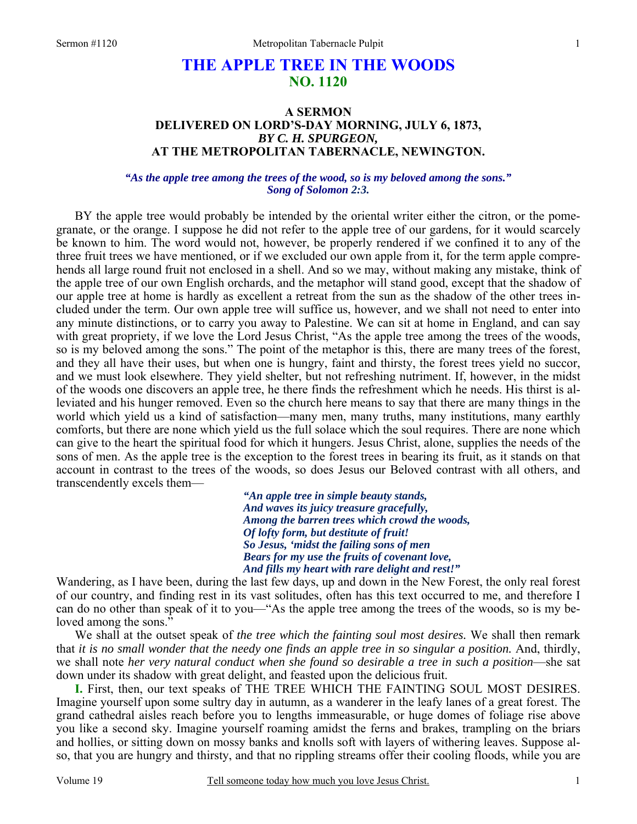# **THE APPLE TREE IN THE WOODS NO. 1120**

### **A SERMON DELIVERED ON LORD'S-DAY MORNING, JULY 6, 1873,**  *BY C. H. SPURGEON,*  **AT THE METROPOLITAN TABERNACLE, NEWINGTON.**

*"As the apple tree among the trees of the wood, so is my beloved among the sons." Song of Solomon 2:3.*

BY the apple tree would probably be intended by the oriental writer either the citron, or the pomegranate, or the orange. I suppose he did not refer to the apple tree of our gardens, for it would scarcely be known to him. The word would not, however, be properly rendered if we confined it to any of the three fruit trees we have mentioned, or if we excluded our own apple from it, for the term apple comprehends all large round fruit not enclosed in a shell. And so we may, without making any mistake, think of the apple tree of our own English orchards, and the metaphor will stand good, except that the shadow of our apple tree at home is hardly as excellent a retreat from the sun as the shadow of the other trees included under the term. Our own apple tree will suffice us, however, and we shall not need to enter into any minute distinctions, or to carry you away to Palestine. We can sit at home in England, and can say with great propriety, if we love the Lord Jesus Christ, "As the apple tree among the trees of the woods, so is my beloved among the sons." The point of the metaphor is this, there are many trees of the forest, and they all have their uses, but when one is hungry, faint and thirsty, the forest trees yield no succor, and we must look elsewhere. They yield shelter, but not refreshing nutriment. If, however, in the midst of the woods one discovers an apple tree, he there finds the refreshment which he needs. His thirst is alleviated and his hunger removed. Even so the church here means to say that there are many things in the world which yield us a kind of satisfaction—many men, many truths, many institutions, many earthly comforts, but there are none which yield us the full solace which the soul requires. There are none which can give to the heart the spiritual food for which it hungers. Jesus Christ, alone, supplies the needs of the sons of men. As the apple tree is the exception to the forest trees in bearing its fruit, as it stands on that account in contrast to the trees of the woods, so does Jesus our Beloved contrast with all others, and transcendently excels them—

> *"An apple tree in simple beauty stands, And waves its juicy treasure gracefully, Among the barren trees which crowd the woods, Of lofty form, but destitute of fruit! So Jesus, 'midst the failing sons of men Bears for my use the fruits of covenant love, And fills my heart with rare delight and rest!"*

Wandering, as I have been, during the last few days, up and down in the New Forest, the only real forest of our country, and finding rest in its vast solitudes, often has this text occurred to me, and therefore I can do no other than speak of it to you—"As the apple tree among the trees of the woods, so is my beloved among the sons."

 We shall at the outset speak of *the tree which the fainting soul most desires.* We shall then remark that *it is no small wonder that the needy one finds an apple tree in so singular a position.* And, thirdly, we shall note *her very natural conduct when she found so desirable a tree in such a position*—she sat down under its shadow with great delight, and feasted upon the delicious fruit.

**I.** First, then, our text speaks of THE TREE WHICH THE FAINTING SOUL MOST DESIRES. Imagine yourself upon some sultry day in autumn, as a wanderer in the leafy lanes of a great forest. The grand cathedral aisles reach before you to lengths immeasurable, or huge domes of foliage rise above you like a second sky. Imagine yourself roaming amidst the ferns and brakes, trampling on the briars and hollies, or sitting down on mossy banks and knolls soft with layers of withering leaves. Suppose also, that you are hungry and thirsty, and that no rippling streams offer their cooling floods, while you are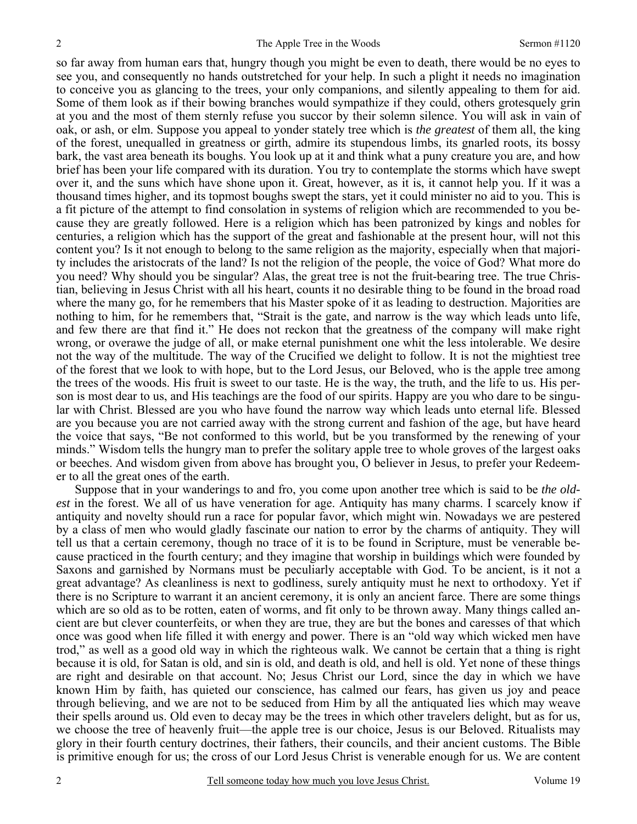so far away from human ears that, hungry though you might be even to death, there would be no eyes to see you, and consequently no hands outstretched for your help. In such a plight it needs no imagination to conceive you as glancing to the trees, your only companions, and silently appealing to them for aid. Some of them look as if their bowing branches would sympathize if they could, others grotesquely grin at you and the most of them sternly refuse you succor by their solemn silence. You will ask in vain of oak, or ash, or elm. Suppose you appeal to yonder stately tree which is *the greatest* of them all, the king of the forest, unequalled in greatness or girth, admire its stupendous limbs, its gnarled roots, its bossy bark, the vast area beneath its boughs. You look up at it and think what a puny creature you are, and how brief has been your life compared with its duration. You try to contemplate the storms which have swept over it, and the suns which have shone upon it. Great, however, as it is, it cannot help you. If it was a thousand times higher, and its topmost boughs swept the stars, yet it could minister no aid to you. This is a fit picture of the attempt to find consolation in systems of religion which are recommended to you because they are greatly followed. Here is a religion which has been patronized by kings and nobles for centuries, a religion which has the support of the great and fashionable at the present hour, will not this content you? Is it not enough to belong to the same religion as the majority, especially when that majority includes the aristocrats of the land? Is not the religion of the people, the voice of God? What more do you need? Why should you be singular? Alas, the great tree is not the fruit-bearing tree. The true Christian, believing in Jesus Christ with all his heart, counts it no desirable thing to be found in the broad road where the many go, for he remembers that his Master spoke of it as leading to destruction. Majorities are nothing to him, for he remembers that, "Strait is the gate, and narrow is the way which leads unto life, and few there are that find it." He does not reckon that the greatness of the company will make right wrong, or overawe the judge of all, or make eternal punishment one whit the less intolerable. We desire not the way of the multitude. The way of the Crucified we delight to follow. It is not the mightiest tree of the forest that we look to with hope, but to the Lord Jesus, our Beloved, who is the apple tree among the trees of the woods. His fruit is sweet to our taste. He is the way, the truth, and the life to us. His person is most dear to us, and His teachings are the food of our spirits. Happy are you who dare to be singular with Christ. Blessed are you who have found the narrow way which leads unto eternal life. Blessed are you because you are not carried away with the strong current and fashion of the age, but have heard the voice that says, "Be not conformed to this world, but be you transformed by the renewing of your minds." Wisdom tells the hungry man to prefer the solitary apple tree to whole groves of the largest oaks or beeches. And wisdom given from above has brought you, O believer in Jesus, to prefer your Redeemer to all the great ones of the earth.

Suppose that in your wanderings to and fro, you come upon another tree which is said to be *the oldest* in the forest. We all of us have veneration for age. Antiquity has many charms. I scarcely know if antiquity and novelty should run a race for popular favor, which might win. Nowadays we are pestered by a class of men who would gladly fascinate our nation to error by the charms of antiquity. They will tell us that a certain ceremony, though no trace of it is to be found in Scripture, must be venerable because practiced in the fourth century; and they imagine that worship in buildings which were founded by Saxons and garnished by Normans must be peculiarly acceptable with God. To be ancient, is it not a great advantage? As cleanliness is next to godliness, surely antiquity must he next to orthodoxy. Yet if there is no Scripture to warrant it an ancient ceremony, it is only an ancient farce. There are some things which are so old as to be rotten, eaten of worms, and fit only to be thrown away. Many things called ancient are but clever counterfeits, or when they are true, they are but the bones and caresses of that which once was good when life filled it with energy and power. There is an "old way which wicked men have trod," as well as a good old way in which the righteous walk. We cannot be certain that a thing is right because it is old, for Satan is old, and sin is old, and death is old, and hell is old. Yet none of these things are right and desirable on that account. No; Jesus Christ our Lord, since the day in which we have known Him by faith, has quieted our conscience, has calmed our fears, has given us joy and peace through believing, and we are not to be seduced from Him by all the antiquated lies which may weave their spells around us. Old even to decay may be the trees in which other travelers delight, but as for us, we choose the tree of heavenly fruit—the apple tree is our choice, Jesus is our Beloved. Ritualists may glory in their fourth century doctrines, their fathers, their councils, and their ancient customs. The Bible is primitive enough for us; the cross of our Lord Jesus Christ is venerable enough for us. We are content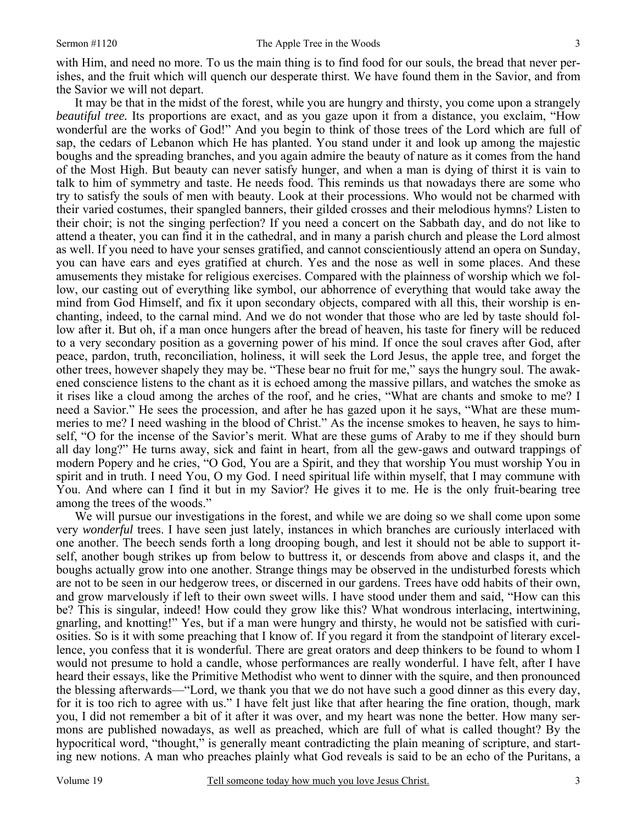with Him, and need no more. To us the main thing is to find food for our souls, the bread that never perishes, and the fruit which will quench our desperate thirst. We have found them in the Savior, and from the Savior we will not depart.

It may be that in the midst of the forest, while you are hungry and thirsty, you come upon a strangely *beautiful tree.* Its proportions are exact, and as you gaze upon it from a distance, you exclaim, "How wonderful are the works of God!" And you begin to think of those trees of the Lord which are full of sap, the cedars of Lebanon which He has planted. You stand under it and look up among the majestic boughs and the spreading branches, and you again admire the beauty of nature as it comes from the hand of the Most High. But beauty can never satisfy hunger, and when a man is dying of thirst it is vain to talk to him of symmetry and taste. He needs food. This reminds us that nowadays there are some who try to satisfy the souls of men with beauty. Look at their processions. Who would not be charmed with their varied costumes, their spangled banners, their gilded crosses and their melodious hymns? Listen to their choir; is not the singing perfection? If you need a concert on the Sabbath day, and do not like to attend a theater, you can find it in the cathedral, and in many a parish church and please the Lord almost as well. If you need to have your senses gratified, and cannot conscientiously attend an opera on Sunday, you can have ears and eyes gratified at church. Yes and the nose as well in some places. And these amusements they mistake for religious exercises. Compared with the plainness of worship which we follow, our casting out of everything like symbol, our abhorrence of everything that would take away the mind from God Himself, and fix it upon secondary objects, compared with all this, their worship is enchanting, indeed, to the carnal mind. And we do not wonder that those who are led by taste should follow after it. But oh, if a man once hungers after the bread of heaven, his taste for finery will be reduced to a very secondary position as a governing power of his mind. If once the soul craves after God, after peace, pardon, truth, reconciliation, holiness, it will seek the Lord Jesus, the apple tree, and forget the other trees, however shapely they may be. "These bear no fruit for me," says the hungry soul. The awakened conscience listens to the chant as it is echoed among the massive pillars, and watches the smoke as it rises like a cloud among the arches of the roof, and he cries, "What are chants and smoke to me? I need a Savior." He sees the procession, and after he has gazed upon it he says, "What are these mummeries to me? I need washing in the blood of Christ." As the incense smokes to heaven, he says to himself, "O for the incense of the Savior's merit. What are these gums of Araby to me if they should burn all day long?" He turns away, sick and faint in heart, from all the gew-gaws and outward trappings of modern Popery and he cries, "O God, You are a Spirit, and they that worship You must worship You in spirit and in truth. I need You, O my God. I need spiritual life within myself, that I may commune with You. And where can I find it but in my Savior? He gives it to me. He is the only fruit-bearing tree among the trees of the woods."

We will pursue our investigations in the forest, and while we are doing so we shall come upon some very *wonderful* trees. I have seen just lately, instances in which branches are curiously interlaced with one another. The beech sends forth a long drooping bough, and lest it should not be able to support itself, another bough strikes up from below to buttress it, or descends from above and clasps it, and the boughs actually grow into one another. Strange things may be observed in the undisturbed forests which are not to be seen in our hedgerow trees, or discerned in our gardens. Trees have odd habits of their own, and grow marvelously if left to their own sweet wills. I have stood under them and said, "How can this be? This is singular, indeed! How could they grow like this? What wondrous interlacing, intertwining, gnarling, and knotting!" Yes, but if a man were hungry and thirsty, he would not be satisfied with curiosities. So is it with some preaching that I know of. If you regard it from the standpoint of literary excellence, you confess that it is wonderful. There are great orators and deep thinkers to be found to whom I would not presume to hold a candle, whose performances are really wonderful. I have felt, after I have heard their essays, like the Primitive Methodist who went to dinner with the squire, and then pronounced the blessing afterwards—"Lord, we thank you that we do not have such a good dinner as this every day, for it is too rich to agree with us." I have felt just like that after hearing the fine oration, though, mark you, I did not remember a bit of it after it was over, and my heart was none the better. How many sermons are published nowadays, as well as preached, which are full of what is called thought? By the hypocritical word, "thought," is generally meant contradicting the plain meaning of scripture, and starting new notions. A man who preaches plainly what God reveals is said to be an echo of the Puritans, a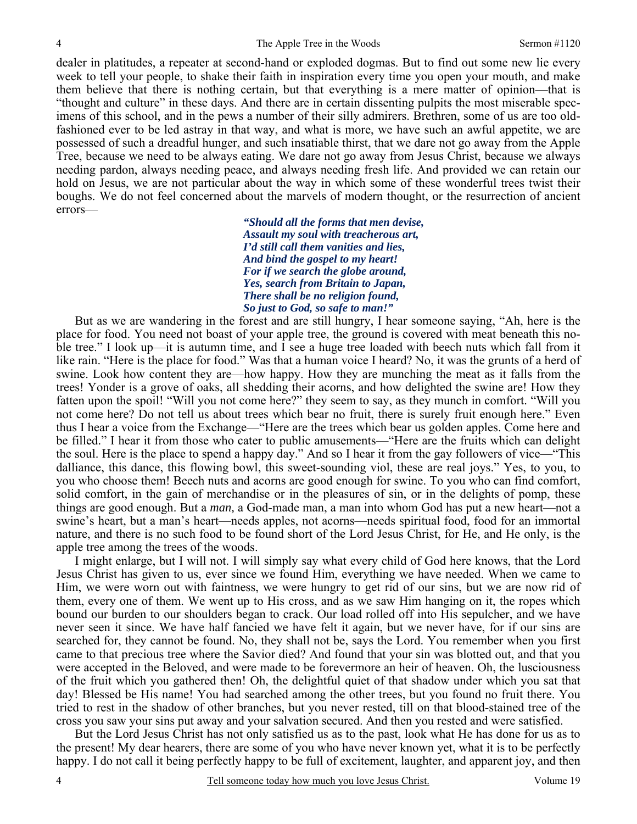dealer in platitudes, a repeater at second-hand or exploded dogmas. But to find out some new lie every week to tell your people, to shake their faith in inspiration every time you open your mouth, and make them believe that there is nothing certain, but that everything is a mere matter of opinion—that is "thought and culture" in these days. And there are in certain dissenting pulpits the most miserable specimens of this school, and in the pews a number of their silly admirers. Brethren, some of us are too oldfashioned ever to be led astray in that way, and what is more, we have such an awful appetite, we are possessed of such a dreadful hunger, and such insatiable thirst, that we dare not go away from the Apple Tree, because we need to be always eating. We dare not go away from Jesus Christ, because we always needing pardon, always needing peace, and always needing fresh life. And provided we can retain our hold on Jesus, we are not particular about the way in which some of these wonderful trees twist their boughs. We do not feel concerned about the marvels of modern thought, or the resurrection of ancient errors—

> *"Should all the forms that men devise, Assault my soul with treacherous art, I'd still call them vanities and lies, And bind the gospel to my heart! For if we search the globe around, Yes, search from Britain to Japan, There shall be no religion found, So just to God, so safe to man!"*

 But as we are wandering in the forest and are still hungry, I hear someone saying, "Ah, here is the place for food. You need not boast of your apple tree, the ground is covered with meat beneath this noble tree." I look up—it is autumn time, and I see a huge tree loaded with beech nuts which fall from it like rain. "Here is the place for food." Was that a human voice I heard? No, it was the grunts of a herd of swine. Look how content they are—how happy. How they are munching the meat as it falls from the trees! Yonder is a grove of oaks, all shedding their acorns, and how delighted the swine are! How they fatten upon the spoil! "Will you not come here?" they seem to say, as they munch in comfort. "Will you not come here? Do not tell us about trees which bear no fruit, there is surely fruit enough here." Even thus I hear a voice from the Exchange—"Here are the trees which bear us golden apples. Come here and be filled." I hear it from those who cater to public amusements—"Here are the fruits which can delight the soul. Here is the place to spend a happy day." And so I hear it from the gay followers of vice—"This dalliance, this dance, this flowing bowl, this sweet-sounding viol, these are real joys." Yes, to you, to you who choose them! Beech nuts and acorns are good enough for swine. To you who can find comfort, solid comfort, in the gain of merchandise or in the pleasures of sin, or in the delights of pomp, these things are good enough. But a *man,* a God-made man, a man into whom God has put a new heart—not a swine's heart, but a man's heart—needs apples, not acorns—needs spiritual food, food for an immortal nature, and there is no such food to be found short of the Lord Jesus Christ, for He, and He only, is the apple tree among the trees of the woods.

 I might enlarge, but I will not. I will simply say what every child of God here knows, that the Lord Jesus Christ has given to us, ever since we found Him, everything we have needed. When we came to Him, we were worn out with faintness, we were hungry to get rid of our sins, but we are now rid of them, every one of them. We went up to His cross, and as we saw Him hanging on it, the ropes which bound our burden to our shoulders began to crack. Our load rolled off into His sepulcher, and we have never seen it since. We have half fancied we have felt it again, but we never have, for if our sins are searched for, they cannot be found. No, they shall not be, says the Lord. You remember when you first came to that precious tree where the Savior died? And found that your sin was blotted out, and that you were accepted in the Beloved, and were made to be forevermore an heir of heaven. Oh, the lusciousness of the fruit which you gathered then! Oh, the delightful quiet of that shadow under which you sat that day! Blessed be His name! You had searched among the other trees, but you found no fruit there. You tried to rest in the shadow of other branches, but you never rested, till on that blood-stained tree of the cross you saw your sins put away and your salvation secured. And then you rested and were satisfied.

 But the Lord Jesus Christ has not only satisfied us as to the past, look what He has done for us as to the present! My dear hearers, there are some of you who have never known yet, what it is to be perfectly happy. I do not call it being perfectly happy to be full of excitement, laughter, and apparent joy, and then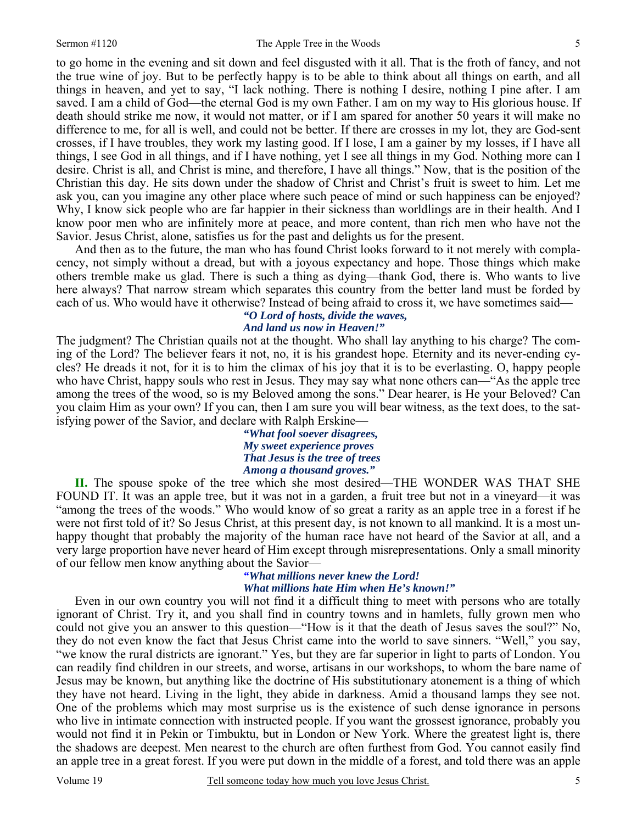to go home in the evening and sit down and feel disgusted with it all. That is the froth of fancy, and not the true wine of joy. But to be perfectly happy is to be able to think about all things on earth, and all things in heaven, and yet to say, "I lack nothing. There is nothing I desire, nothing I pine after. I am saved. I am a child of God—the eternal God is my own Father. I am on my way to His glorious house. If death should strike me now, it would not matter, or if I am spared for another 50 years it will make no difference to me, for all is well, and could not be better. If there are crosses in my lot, they are God-sent crosses, if I have troubles, they work my lasting good. If I lose, I am a gainer by my losses, if I have all things, I see God in all things, and if I have nothing, yet I see all things in my God. Nothing more can I desire. Christ is all, and Christ is mine, and therefore, I have all things." Now, that is the position of the Christian this day. He sits down under the shadow of Christ and Christ's fruit is sweet to him. Let me ask you, can you imagine any other place where such peace of mind or such happiness can be enjoyed? Why, I know sick people who are far happier in their sickness than worldlings are in their health. And I know poor men who are infinitely more at peace, and more content, than rich men who have not the Savior. Jesus Christ, alone, satisfies us for the past and delights us for the present.

 And then as to the future, the man who has found Christ looks forward to it not merely with complacency, not simply without a dread, but with a joyous expectancy and hope. Those things which make others tremble make us glad. There is such a thing as dying—thank God, there is. Who wants to live here always? That narrow stream which separates this country from the better land must be forded by each of us. Who would have it otherwise? Instead of being afraid to cross it, we have sometimes said—

#### *"O Lord of hosts, divide the waves, And land us now in Heaven!"*

The judgment? The Christian quails not at the thought. Who shall lay anything to his charge? The coming of the Lord? The believer fears it not, no, it is his grandest hope. Eternity and its never-ending cycles? He dreads it not, for it is to him the climax of his joy that it is to be everlasting. O, happy people who have Christ, happy souls who rest in Jesus. They may say what none others can—"As the apple tree among the trees of the wood, so is my Beloved among the sons." Dear hearer, is He your Beloved? Can you claim Him as your own? If you can, then I am sure you will bear witness, as the text does, to the satisfying power of the Savior, and declare with Ralph Erskine—

> *"What fool soever disagrees, My sweet experience proves That Jesus is the tree of trees Among a thousand groves."*

**II.** The spouse spoke of the tree which she most desired—THE WONDER WAS THAT SHE FOUND IT. It was an apple tree, but it was not in a garden, a fruit tree but not in a vineyard—it was "among the trees of the woods." Who would know of so great a rarity as an apple tree in a forest if he were not first told of it? So Jesus Christ, at this present day, is not known to all mankind. It is a most unhappy thought that probably the majority of the human race have not heard of the Savior at all, and a very large proportion have never heard of Him except through misrepresentations. Only a small minority of our fellow men know anything about the Savior—

# *"What millions never knew the Lord! What millions hate Him when He's known!"*

 Even in our own country you will not find it a difficult thing to meet with persons who are totally ignorant of Christ. Try it, and you shall find in country towns and in hamlets, fully grown men who could not give you an answer to this question—"How is it that the death of Jesus saves the soul?" No, they do not even know the fact that Jesus Christ came into the world to save sinners. "Well," you say, "we know the rural districts are ignorant." Yes, but they are far superior in light to parts of London. You can readily find children in our streets, and worse, artisans in our workshops, to whom the bare name of Jesus may be known, but anything like the doctrine of His substitutionary atonement is a thing of which they have not heard. Living in the light, they abide in darkness. Amid a thousand lamps they see not. One of the problems which may most surprise us is the existence of such dense ignorance in persons who live in intimate connection with instructed people. If you want the grossest ignorance, probably you would not find it in Pekin or Timbuktu, but in London or New York. Where the greatest light is, there the shadows are deepest. Men nearest to the church are often furthest from God. You cannot easily find an apple tree in a great forest. If you were put down in the middle of a forest, and told there was an apple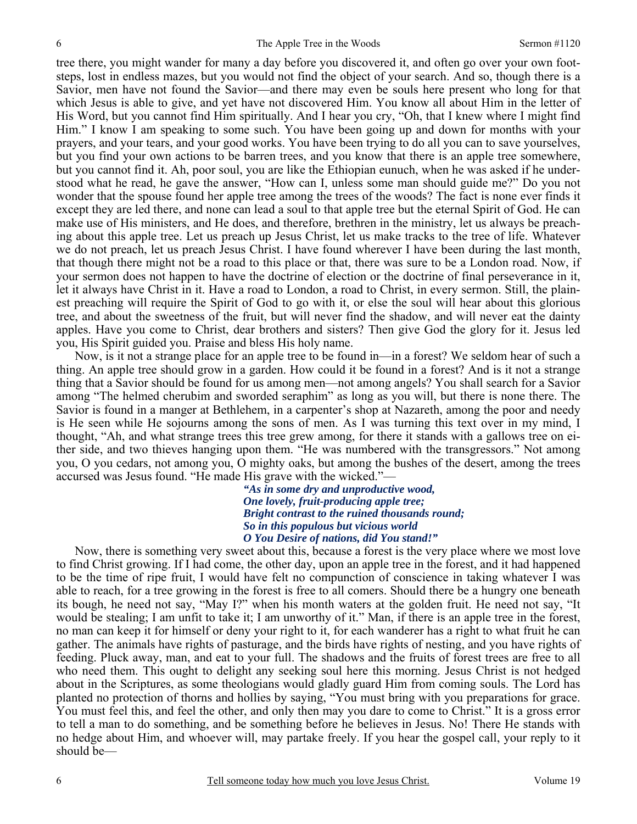tree there, you might wander for many a day before you discovered it, and often go over your own footsteps, lost in endless mazes, but you would not find the object of your search. And so, though there is a Savior, men have not found the Savior—and there may even be souls here present who long for that which Jesus is able to give, and yet have not discovered Him. You know all about Him in the letter of His Word, but you cannot find Him spiritually. And I hear you cry, "Oh, that I knew where I might find Him." I know I am speaking to some such. You have been going up and down for months with your prayers, and your tears, and your good works. You have been trying to do all you can to save yourselves, but you find your own actions to be barren trees, and you know that there is an apple tree somewhere, but you cannot find it. Ah, poor soul, you are like the Ethiopian eunuch, when he was asked if he understood what he read, he gave the answer, "How can I, unless some man should guide me?" Do you not wonder that the spouse found her apple tree among the trees of the woods? The fact is none ever finds it except they are led there, and none can lead a soul to that apple tree but the eternal Spirit of God. He can make use of His ministers, and He does, and therefore, brethren in the ministry, let us always be preaching about this apple tree. Let us preach up Jesus Christ, let us make tracks to the tree of life. Whatever we do not preach, let us preach Jesus Christ. I have found wherever I have been during the last month, that though there might not be a road to this place or that, there was sure to be a London road. Now, if your sermon does not happen to have the doctrine of election or the doctrine of final perseverance in it, let it always have Christ in it. Have a road to London, a road to Christ, in every sermon. Still, the plainest preaching will require the Spirit of God to go with it, or else the soul will hear about this glorious tree, and about the sweetness of the fruit, but will never find the shadow, and will never eat the dainty apples. Have you come to Christ, dear brothers and sisters? Then give God the glory for it. Jesus led you, His Spirit guided you. Praise and bless His holy name.

 Now, is it not a strange place for an apple tree to be found in—in a forest? We seldom hear of such a thing. An apple tree should grow in a garden. How could it be found in a forest? And is it not a strange thing that a Savior should be found for us among men—not among angels? You shall search for a Savior among "The helmed cherubim and sworded seraphim" as long as you will, but there is none there. The Savior is found in a manger at Bethlehem, in a carpenter's shop at Nazareth, among the poor and needy is He seen while He sojourns among the sons of men. As I was turning this text over in my mind, I thought, "Ah, and what strange trees this tree grew among, for there it stands with a gallows tree on either side, and two thieves hanging upon them. "He was numbered with the transgressors." Not among you, O you cedars, not among you, O mighty oaks, but among the bushes of the desert, among the trees accursed was Jesus found. "He made His grave with the wicked."—

> *"As in some dry and unproductive wood, One lovely, fruit-producing apple tree; Bright contrast to the ruined thousands round; So in this populous but vicious world O You Desire of nations, did You stand!"*

Now, there is something very sweet about this, because a forest is the very place where we most love to find Christ growing. If I had come, the other day, upon an apple tree in the forest, and it had happened to be the time of ripe fruit, I would have felt no compunction of conscience in taking whatever I was able to reach, for a tree growing in the forest is free to all comers. Should there be a hungry one beneath its bough, he need not say, "May I?" when his month waters at the golden fruit. He need not say, "It would be stealing; I am unfit to take it; I am unworthy of it." Man, if there is an apple tree in the forest, no man can keep it for himself or deny your right to it, for each wanderer has a right to what fruit he can gather. The animals have rights of pasturage, and the birds have rights of nesting, and you have rights of feeding. Pluck away, man, and eat to your full. The shadows and the fruits of forest trees are free to all who need them. This ought to delight any seeking soul here this morning. Jesus Christ is not hedged about in the Scriptures, as some theologians would gladly guard Him from coming souls. The Lord has planted no protection of thorns and hollies by saying, "You must bring with you preparations for grace. You must feel this, and feel the other, and only then may you dare to come to Christ." It is a gross error to tell a man to do something, and be something before he believes in Jesus. No! There He stands with no hedge about Him, and whoever will, may partake freely. If you hear the gospel call, your reply to it should be—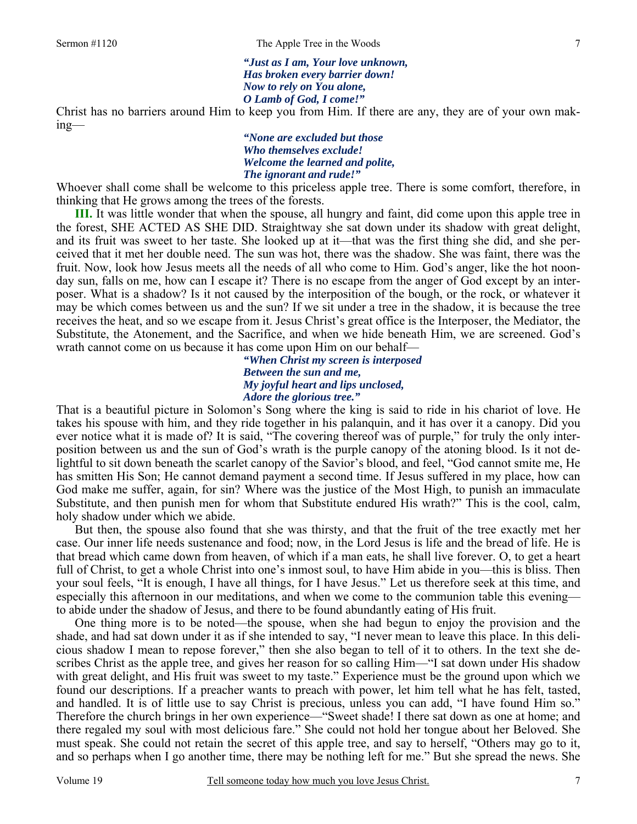*"Just as I am, Your love unknown, Has broken every barrier down! Now to rely on You alone, O Lamb of God, I come!"* 

Christ has no barriers around Him to keep you from Him. If there are any, they are of your own making—

> *"None are excluded but those Who themselves exclude! Welcome the learned and polite, The ignorant and rude!"*

Whoever shall come shall be welcome to this priceless apple tree. There is some comfort, therefore, in thinking that He grows among the trees of the forests.

**III.** It was little wonder that when the spouse, all hungry and faint, did come upon this apple tree in the forest, SHE ACTED AS SHE DID. Straightway she sat down under its shadow with great delight, and its fruit was sweet to her taste. She looked up at it—that was the first thing she did, and she perceived that it met her double need. The sun was hot, there was the shadow. She was faint, there was the fruit. Now, look how Jesus meets all the needs of all who come to Him. God's anger, like the hot noonday sun, falls on me, how can I escape it? There is no escape from the anger of God except by an interposer. What is a shadow? Is it not caused by the interposition of the bough, or the rock, or whatever it may be which comes between us and the sun? If we sit under a tree in the shadow, it is because the tree receives the heat, and so we escape from it. Jesus Christ's great office is the Interposer, the Mediator, the Substitute, the Atonement, and the Sacrifice, and when we hide beneath Him, we are screened. God's wrath cannot come on us because it has come upon Him on our behalf—

> *"When Christ my screen is interposed Between the sun and me, My joyful heart and lips unclosed, Adore the glorious tree."*

That is a beautiful picture in Solomon's Song where the king is said to ride in his chariot of love. He takes his spouse with him, and they ride together in his palanquin, and it has over it a canopy. Did you ever notice what it is made of? It is said, "The covering thereof was of purple," for truly the only interposition between us and the sun of God's wrath is the purple canopy of the atoning blood. Is it not delightful to sit down beneath the scarlet canopy of the Savior's blood, and feel, "God cannot smite me, He has smitten His Son; He cannot demand payment a second time. If Jesus suffered in my place, how can God make me suffer, again, for sin? Where was the justice of the Most High, to punish an immaculate Substitute, and then punish men for whom that Substitute endured His wrath?" This is the cool, calm, holy shadow under which we abide.

 But then, the spouse also found that she was thirsty, and that the fruit of the tree exactly met her case. Our inner life needs sustenance and food; now, in the Lord Jesus is life and the bread of life. He is that bread which came down from heaven, of which if a man eats, he shall live forever. O, to get a heart full of Christ, to get a whole Christ into one's inmost soul, to have Him abide in you—this is bliss. Then your soul feels, "It is enough, I have all things, for I have Jesus." Let us therefore seek at this time, and especially this afternoon in our meditations, and when we come to the communion table this evening to abide under the shadow of Jesus, and there to be found abundantly eating of His fruit.

One thing more is to be noted—the spouse, when she had begun to enjoy the provision and the shade, and had sat down under it as if she intended to say, "I never mean to leave this place. In this delicious shadow I mean to repose forever," then she also began to tell of it to others. In the text she describes Christ as the apple tree, and gives her reason for so calling Him—"I sat down under His shadow with great delight, and His fruit was sweet to my taste." Experience must be the ground upon which we found our descriptions. If a preacher wants to preach with power, let him tell what he has felt, tasted, and handled. It is of little use to say Christ is precious, unless you can add, "I have found Him so." Therefore the church brings in her own experience—"Sweet shade! I there sat down as one at home; and there regaled my soul with most delicious fare." She could not hold her tongue about her Beloved. She must speak. She could not retain the secret of this apple tree, and say to herself, "Others may go to it, and so perhaps when I go another time, there may be nothing left for me." But she spread the news. She